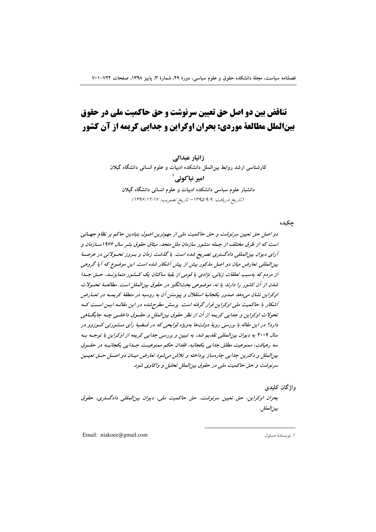# تناقض بین دو اصل حق تعیین سرنوشت و حق حاکمیت ملی در حقوق بینالملل مطالعة موردی: بحران اوکراین و جدایی کریمه از آن کشور

زانیار عبدالی

کارشناسی ارشد روابط بینالملل دانشکده ادبیات و علوم انسانی دانشگاه گیلان امیر نیا کوئے `

دانشیار علوم سیاسی دانشکده ادبیات و علوم انسانی دانشگاه گیلان (تاريخ دريافت: ١٣٩٥/٩/٩- تاريخ تصويب: ١٣٩۶/١٢/١٧)

جكبده

دو اصل حق تعیین سرنوشت و حق حاکمیت ملی از مهم ترین اصول بنیادین حاکم بر نظام جهـانی است که از طرق مختلف از جمله منشور سازمان ملل متحد، میثاق حقوق بشر سال ۱۹۶۶ســازمان و آرای دیوان بین المللی دادگستری تصریح شده است. با گذشت زمان و بسروز تحسولاتی در عرصهٔ بین المللی تعارض میان دو اصل مذکور بیش از پیش آشکار شده است. این موضوع که آیا گروهی از مردم که بهسب تعلقات زبانی، نژادی یا قومی از بقیهٔ ساکنان یک کسفور متمایزنسه، حسق جسا شدن از آن کشور را دارند یا نه، موضوعی بحثانگیز در حقوق بینالملل است. مطالعـهٔ تحـولات اوکراین نشان می دهد صدور یکجانبهٔ استقلال و پیوستن آن به روسیه در منطقهٔ کریمـه در تعـارض آشکار با حاکمیت ملی اوکراین قرار گرفته است. پرسش مطرح شده در این مقالـه ایـن اسـت کـه تحولات اوكراين و جدايي كريمه از آن از نظر حقوق بينالملل و حقسوق داخلسي جسه جايگسامي دارد؟ در این مقاله با بررسی رویهٔ دولتها بهویژه لوایحی که در قسضیهٔ رأی مــشورتی کــوزوو در سال ۲۰۰۹ به دیوان بین المللی تقدیم شد، به تبیین و بررسی جدایی کریمه از اوکراین با توجـه بـه سه رهيافت، ممنوعيت مطلق جدايي يكجانبه، فقدان حكم ممنوعيت جـدايي يكجانبـه در حقـوق بین الملل و دکترین جدایی چارهساز پرداخته و تلاش می شود تعارض میسان دو اصل حتی تعیین سرنوشت و حق حاكميت ملي در حقوق بين الملل تحليل و واكاوي شود.

واژگان کلیدی

بحران اوكراين، حق تعيين سرنوشت، حق حاكميت ملي، ديوان بين المللي دادگستري، حقوق بين الملل.

Email: niakoee@gmail.com

١. نويسندة مسئول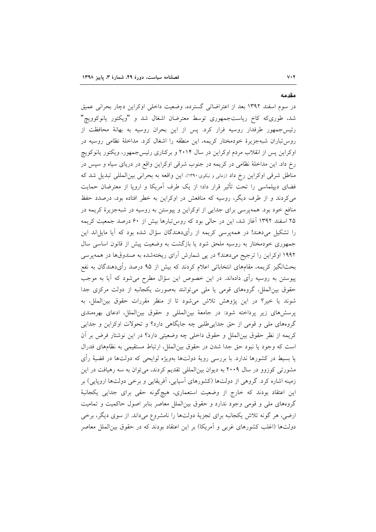مقدمه

 $V \cdot Y$ 

در سوم اسفند ۱۳۹۲ بعد از اعتراضاتی گسترده، وضعیت داخلی اوکراین دچار بحرانی عمیق شد، طوریکه کاخ ریاستجمهوری توسط معترضان اشغال شد و "ویکتور یانوکوویچ" رئیس جمهور طرفدار روسیه فرار کرد. پس از این بحران روسیه به بهانهٔ محافظت از روس تباران شبهجزیرهٔ خودمختار کریمه، این منطقه را اشغال کرد. مداخلهٔ نظامی روسیه در اوکراین پس از انقلاب مردم اوکراین در سال ۲۰۱۴ و برکناری رئیس جمهور، ویکتور یانوکویچ رخ داد. این مداخلهٔ نظامی در کریمه در جنوب شرقی اوکراین واقع در دریای سیاه و سپس در مناطق شرقی اوکراین رخ داد (زمانی و نیکوی:۱۳۹۰). این واقعه به بحرانی بینالمللی تبدیل شد که فضای دیپلماسی را تحت تأثیر قرار داد؛ از یک طرف آمریکا و اروپا از معترضان حمایت می کردند و از طرف دیگر، روسیه که منافعش در اوکراین به خطر افتاده بود، درصدد حفظ منافع خود بود. همهپرسی برای جدایی از اوکراین و پیوستن به روسیه در شبهجزیرهٔ کریمه در ۲۵ اسفند ۱۳۹۲ آغاز شد، این در حالی بود که روس تبارها بیش از ۶۰ درصد جمعیت کریمه را تشکیل میدهند! در همهپرسی کریمه از رأیدهندگان سؤال شده بود که آیا مایل!ند این جمهوری خودمختار به روسیه ملحق شود یا بازگشت به وضعیت پیش از قانون اساسی سال ۱۹۹۲ اوکراین را ترجیح میدهند؟ در پی شمارش اَرای ریختهشده به صندوقها در همهپرسی بحثانگیز کریمه، مقامهای انتخاباتی اعلام کردند که بیش از ۹۵ درصد رأیدهندگان به نفع پیوستن به روسیه رأی دادهاند. در این خصوص این سؤال مطرح میشود که آیا به موجب حقوق بین الملل، گروههای قومی یا ملی می توانند بهصورت یکجانبه از دولت مرکزی جدا شوند یا خیر؟ در این پژوهش تلاش میشود تا از منظر مقررات حقوق بین الملل، به یرسشهای زیر پرداخته شود: در جامعهٔ بینالمللی و حقوق بینالملل، ادعای بهرهمندی گروههای ملی و قومی از حق جدایی طلبی چه جایگاهی دارد؟ و تحولات اوکراین و جدایی كريمه از نظر حقوق بينالملل و حقوق داخلي چه وضعيتي دارد؟ در اين نوشتار فرض بر أن است که وجود یا نبود حق جدا شدن در حقوق بینالملل، ارتباط مستقیمی به نظامهای فدرال یا بسیط در کشورها ندارد. با بررسی رویهٔ دولتها بهویژه لوایحی که دولتها در قضیهٔ رأی مشورتی کوزوو در سال ۲۰۰۹ به دیوان بین المللی تقدیم کردند، می توان به سه رهیافت در این زمینه اشاره کرد. گروهی از دولتها (کشورهای آسیایی، آفریقایی و برخی دولتها اروپایی) بر این اعتقاد بودند که خارج از وضعیت استعماری، هیچگونه حقی برای جدایی یکجانبهٔ گروههای ملی و قومی وجود ندارد و حقوق بین|لملل معاصر بنابر اصول حاکمیت و تمامیت ارضی، هر گونه تلاش یکجانبه برای تجزیهٔ دولتها را نامشروع میداند. از سوی دیگر، برخی دولتها (اغلب کشورهای غربی و آمریکا) بر این اعتقاد بودند که در حقوق بین|لملل معاصر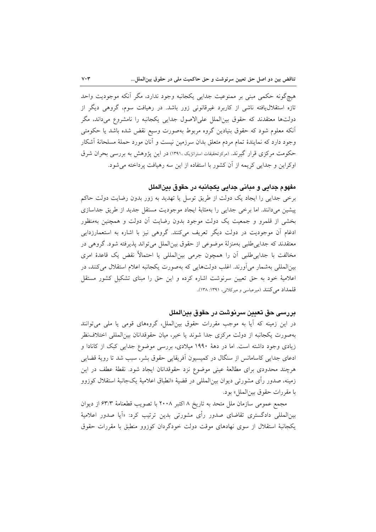هیچگونه حکمی مبنی بر ممنوعیت جدایی یکجانبه وجود ندارد، مگر آنکه موجودیت واحد تازه استقلال یافته ناشی از کاربرد غیرقانونی زور باشد. در رهپافت سوم، گروهی دیگر از دولتها معتقدند که حقوق بین|لملل علی|لاصول جدایی یکجانبه را نامشروع می،داند، مگر أنكه معلوم شود كه حقوق بنيادين گروه مربوط بهصورت وسيع نقض شده باشد يا حكومتى وجود دارد که نمایندهٔ تمام مردم متعلق بدان سرزمین نیست و آنان مورد حملهٔ مسلحانهٔ آشکار حکومت مرکزی قرار گیرند. (مرکزنحقیقات استراتژیک ،۱۳۹۱) در این پژوهش به بررسی بحران شرق اوکراین و جدایی کریمه از آن کشور با استفاده از این سه رهیافت پرداخته می شود.

## مفهوم جدايي و مباني جدايي يکجانبه در حقوق بينالملل

برخی جدایی را ایجاد یک دولت از طریق توسل یا تهدید به زور بدون رضایت دولت حاکم پیشین میدانند. اما برخی جدایی را بهمثابهٔ ایجاد موجودیت مستقل جدید از طریق جداسازی بخشی از قلمرو و جمعیت یک دولت موجود بدون رضایت آن دولت و همچنین بهمنظور ادغام آن موجودیت در دولت دیگر تعریف میکنند. گروهی نیز با اشاره به استعمارزدایی معتقدند که جدایی طلبی بهمنزلهٔ موضوعی از حقوق بین|لملل میتواند پذیرفته شود. گروهی در مخالفت با جدایی طلبی آن را همچون جرمی بینالمللی یا احتمالاً نقض یک قاعدهٔ امری بینالمللی بهشمار میآورند. اغلب دولتهایی که بهصورت یکجانبه اعلام استقلال میکنند، در اعلامیهٔ خود به حق تعیین سرنوشت اشاره کرده و این حق را مبنای تشکیل کشور مستقل قلمداد می کنند (میرعباسی و میرکلائی، ۱۳۹۱: ۱۳۸).

#### بررسي حق تعيين سرنوشت در حقوق بينالملل

در این زمینه که آیا به موجب مقررات حقوق بینالملل، گروههای قومی یا ملی می توانند بهصورت يكجانبه از دولت مركزي جدا شوند يا خير، ميان حقوقدانان بين|لمللي اختلاف نظر زیادی وجود داشته است. اما در دههٔ ۱۹۹۰ میلادی، بررسی موضوع جدایی کبک از کانادا و ادعای جدایی کاسامانس از سنگال در کمیسیون آفریقایی حقوق بشر، سبب شد تا رویهٔ قضایی هرچند محدودی برای مطالعهٔ عینی موضوع نزد حقوقدانان ایجاد شود. نقطهٔ عطف در این زمينه، صدور رأى مشورتي ديوان بين|لمللي در قضية «انطباق اعلامية يکجانبهٔ استقلال کوزوو با مقررات حقوق بين الملل» بود.

مجمع عمومی سازمان ملل متحد به تاریخ ٨ اکتبر ٢٠٠٨ با تصویب قطعنامهٔ ۶۳/۳ از دیوان بینالمللی دادگستری تقاضای صدور رأی مشورت<sub>ی</sub> بدین ترتیب کرد: «اَیا صدور اعلامیهٔ یکجانبهٔ استقلال از سوی نهادهای موقت دولت خودگردان کوزوو منطبق با مقررات حقوق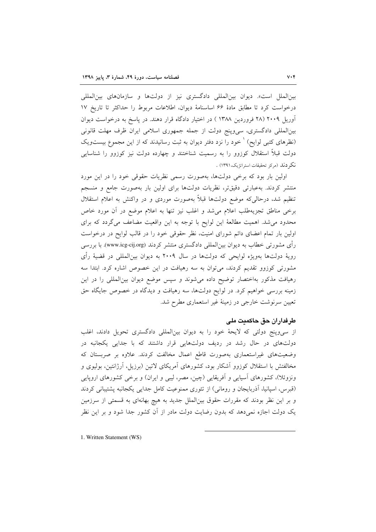بینالملل است». دیوان بینالمللی دادگستری نیز از دولتها و سازمانهای بینالمللی درخواست كرد تا مطابق مادة 6۶ اساسنامهٔ دیوان، اطلاعات مربوط را حداكثر تا تاریخ ۱۷ آوریل ۲۰۰۹ (۲۸ فروردین ۱۳۸۸ ) در اختیار دادگاه قرار دهند. در پاسخ به درخواست دیوان بینالمللی دادگستری، سی وپنج دولت از جمله جمهوری اسلامی ایران ظرف مهلت قانونی (نظرهای کتبی لوایح) <sup>۱</sup> خود را نزد دفتر دیوان به ثبت رسانیدند که از این مجموع بیستویک دولت قبلاً استقلال کوزوو را به رسمیت شناختند و چهارده دولت نیز کوزوو را شناسایی نكر دند (مركز تحقيقات استراتژيک،١٣٩١) .

اولین بار بود که برخی دولتها، بهصورت رسمی نظریات حقوقی خود را در این مورد منتشر کردند. بهعبارتی دقیقتر، نظریات دولتها برای اولین بار بهصورت جامع و منسجم تنظیم شد، درحالی که موضع دولتها قبلاً بهصورت موردی و در واکنش به اعلام استقلال برخي مناطق تجزيهطلب اعلام مى شد و اغلب نيز تنها به اعلام موضع در آن مورد خاص محدود میشد. اهمیت مطالعهٔ این لوایح با توجه به این واقعیت مضاعف میگردد که برای اولین بار تمام اعضای دائم شورای امنیت، نظر حقوقی خود را در قالب لوایح در درخواست رأى مشورتى خطاب به ديوان بين|لمللي دادگسترى منتشر كردند (www.icg-cij.org). با بررسى رویهٔ دولتها بهویژه لوایحی که دولتها در سال ۲۰۰۹ به دیوان بین|لمللی در قضیهٔ رأی مشورتی کوزوو تقدیم کردند، می توان به سه رهیافت در این خصوص اشاره کرد. ابتدا سه رهیافت مذکور بهاختصار توضیح داده میشوند و سپس موضع دیوان بینالمللی را در این زمینه بررسی خواهیم کرد. در لوایح دولتها، سه رهیافت و دیدگاه در خصوص جایگاه حق تعیین سرنوشت خارجی در زمینهٔ غیر استعماری مطرح شد.

## طرفداران حق حاكميت ملي

از سیوپنج دولتی که لایحهٔ خود را به دیوان بینالمللی دادگستری تحویل دادند، اغلب دولتهای در حال رشد در ردیف دولتهایی قرار داشتند که با جدایی یکجانبه در وضعیتهای غیراستعماری بهصورت قاطع اعمال مخالفت کردند. علاوه بر صربستان که مخالفتش با استقلال کوزوو اَشکار بود، کشورهای اَمریکای لاتین (برزیل، اَرژانتین، بولیوی و ونزوئلا)، کشورهای اسپایی و اَفریقایی (چین، مصر، لیبی و ایران) و برخی کشورهای اروپایی (قبرس، اسپانیا، اَذربایجان و رومانی) از تئوری ممنوعیت کامل جدایی یکجانبه پشتیبانی کردند و بر این نظر بودند که مقررات حقوق بینالملل جدید به هیچ بهانهای به قسمتی از سرزمین یک دولت اجازه نمیدهد که بدون رضایت دولت مادر از آن کشور جدا شود و بر این نظر

1. Written Statement (WS)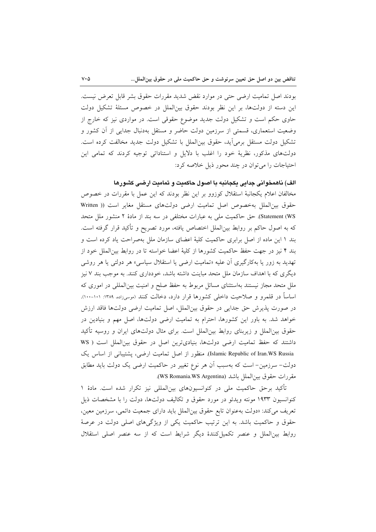بودند اصل تماميت ارضي حتى در موارد نقض شديد مقررات حقوق بشر قابل تعرض نيست. این دسته از دولتها، بر این نظر بودند حقوق بین الملل در خصوص مسئلهٔ تشکیل دولت حاوی حکم است و تشکیل دولت جدید موضوع حقوقی است. در مواردی نیز که خارج از وضعیت استعماری، قسمتی از سرزمین دولت حاضر و مستقل بهدنبال جدایی از آن کشور و تشكيل دولت مستقل برمي آيد، حقوق بين الملل با تشكيل دولت جديد مخالفت كرده است. دولتهای مذکور، نظریهٔ خود را اغلب با دلایل و استناداتی توجیه کردند که تمامی این احتیاجات را می توان در چند محور ذیل خلاصه کرد:

## الف) ناهمخوانی جدایی یکجانبه با اصول حاکمیت و تمامیت ارضی کشورها

مخالفان اعلام یکجانبهٔ استقلال کوزوو بر این نظر بودند که این عمل با مقررات در خصوص حقوق بين الملل بهخصوص اصل تماميت ارضى دولتهاى مستقل مغاير است (( Written Statement (WS). حق حاکمیت ملی به عبارات مختلفی در سه بند از مادهٔ ۲ منشور ملل متحد که به اصول حاکم بر روابط بین|لملل اختصاص یافته، مورد تصریح و تأکید قرار گرفته است. بند ۱ این ماده از اصل برابری حاکمیت کلیهٔ اعضای سازمان ملل بهصراحت یاد کرده است و بند ۴ نیز در جهت حفظ حاکمیت کشورها از کلیهٔ اعضا خواسته تا در روابط بین|لملل خود از تهدید به زور یا بهکارگیری آن علیه «تمامیت ارضی یا استقلال سیاسی» هر دولتی یا هر روشی دیگری که با اهداف سازمان ملل متحد مباینت داشته باشد، خودداری کنند. به موجب بند ۷ نیز ملل متحد مجاز نیستند بهاستثنای مسائل مربوط به حفظ صلح و امنیت بین|لمللی در اموری که اساساً در قلمرو و صلاحیت داخلی کشورها قرار دارد، دخالت کنند (موسیزاده، ۱۳۸۹: ۱۰۱-۱۰۰). در صورت پذیرش حق جدایی در حقوق بینالملل، اصل تمامیت ارضی دولتها فاقد ارزش خواهد شد. به باور این کشورها، احترام به تمامیت ارضی دولتها، اصل مهم و بنیادین در حقوق بین|لملل و زیربنای روابط بین|لملل است. برای مثال دولتهای ایران و روسیه تأکید داشتند که حفظ تمامیت ارضی دولتها، بنیادیترین اصل در حقوق بین الملل است ( WS Islamic Republic of Iran.WS Russia). منظور از اصل تمامیت ارضی، پشتیبانی از اساس یک دولت– سرزمین– است که بهسبب آن هر نوع تغییر در حاکمیت ارضی یک دولت باید مطابق مقررات حقوق بين الملل باشد (WS Romania.WS Argentina).

تأکید برحق حاکمیت ملی در کنوانسیونهای بین|لمللی نیز تکرار شده است. مادهٔ ۱ کنوانسیون ۱۹۳۳ مونته ویدئو در مورد حقوق و تکالیف دولتها، دولت را با مشخصات ذیل تعريف مي كند: «دولت به عنوان تابع حقوق بين الملل بايد داراي جمعيت دائمي، سرزمين معين، حقوق و حاکمیت باشد. به این ترتیب حاکمیت یکی از ویژگیهای اصلی دولت در عرصهٔ روابط بینالملل و عنصر تکمیل کنندهٔ دیگر شرایط است که از سه عنصر اصلی استقلال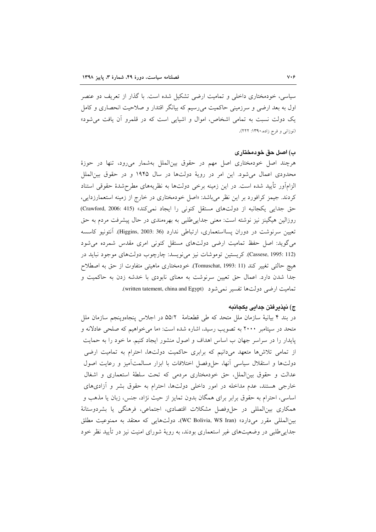سیاسی، خودمختاری داخلی و تمامیت ارضی تشکیل شده است. با گذار از تعریف دو عنصر اول به بعد ارضی و سرزمینی حاکمیت می٫رسیم که بیانگر اقتدار و صلاحیت انحصاری و کامل یک دولت نسبت به تمامی اشخاص، اموال و اشیایی است که در قلمرو آن یافت می شود» (نوزانی و فرج زاده، ۱۳۹۰: ۲۲۲).

#### ب) اصل حق خودمختاری

هرچند اصل خودمختاری اصل مهم در حقوق بینالملل بهشمار میرود، تنها در حوزهٔ محدودی اعمال میشود. این امر در رویهٔ دولتها در سال ۱۹۴۵ و در حقوق بین الملل الزامآور تأييد شده است. در اين زمينه برخي دولتها به نظريههاي مطرحشدهٔ حقوقي استناد کردند. جیمز کرافورد بر این نظر می باشد: «اصل خودمختاری در خارج از زمینه استعمارزدایی، حق جدایی یکجانبه از دولتهای مستقل کنونی را ایجاد نمیکند» (Crawford, 2006: 415) روزالین هیگینز نیز نوشته است: معنی جدایی طلبی به بهرهمندی در حال پیشرفت مردم به حق تعیین سرنوشت در دوران پسااستعماری، ارتباطی ندارد (36 :Higgins, 2003). آنتونیو کاسسه می گوید: اصل حفظ تمامیت ارضی دولتهای مستقل کنونی امری مقدس شمرده می شود (Cassese, 1995: 112). كريستين توموشات نيز مى نويسد: چارچوب دولتهاى موجود نبايد در هيچ حالتي تغيير كند (Tomuschat, 1993: 11). خودمختاري ماهيتي متفاوت از حق به اصطلاح جدا شدن دارد. اعمال حق تعیین سرنوشت به معنای نابودی با خدشه زدن به حاکمیت و تمامیت ارضی دولتها تفسیر نمی شود (written tatement, china and Egypt).

#### ج) نیذیرفتن جدایی یکجانبه

در بند ۴ بیانیهٔ سازمان ملل متحد که طی قطعنامهٔ ۵۵/۲ در اجلاس پنجاهوینجم سازمان ملل متحد در سپتامبر ۲۰۰۰ به تصویب رسید، اشاره شده است: «ما می خواهیم که صلحی عادلانه و پایدار را در سراسر جهان ب اساس اهداف و اصول منشور ایجاد کنیم. ما خود را به حمایت از تمامی تلاشها متعهد میدانیم که برابری حاکمیت دولتها، احترام به تمامیت ارضی دولتها و استقلال سیاسی أنها، حل وفصل اختلافات با ابزار مسالمتأمیز و رعایت اصول عدالت و حقوق بین الملل، حق خودمختاری مردمی که تحت سلطهٔ استعماری و اشغال خارجی هستند، عدم مداخله در امور داخلی دولتها، احترام به حقوق بشر و آزادیهای اساسی، احترام به حقوق برابر برای همگان بدون تمایز از حیث نژاد، جنس، زبان یا مذهب و همکاری بین|لمللی در حلوفصل مشکلات اقتصادی، اجتماعی، فرهنگی یا بشردوستانهٔ بين المللي مقرر مي دارد» (WC Bolivia, WS Iran). دولتهايي كه معتقد به ممنوعيت مطلق جدایی طلبی در وضعیتهای غیر استعماری بودند، به رویهٔ شورای امنیت نیز در تأیید نظر خود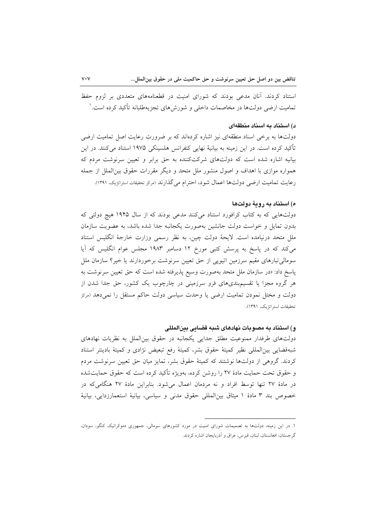استناد کردند. آنان مدعی بودند که شورای امنیت در قطعنامههای متعددی بر لزوم حفظ تمامیت ارضی دولتها در مخاصمات داخلی و شورش های تجزیهطلبانه تأکید کرده است. '

#### د) استناد به اسناد منطقهای

دولتها به برخی اسناد منطقهای نیز اشاره کردهاند که بر ضرورت رعایت اصل تمامیت ارضی تأکید کرده است. در این زمینه به بیانیهٔ نهایی کنفرانس هلسینکی ۱۹۷۵ استناد میکنند. در این بیانیه اشاره شده است که دولتهای شرکتکننده به حق برابر و تعیین سرنوشت مردم که همواره موازی با اهداف و اصول منشور ملل متحد و دیگر مقررات حقوق بین(لملل از جمله رعايت تماميت ارضي دولتها اعمال شود، احترام مي گذارند (مردر تحقيقات استراتزيک، ١٣٩١).

### ه) استناد به روبهٔ دولتها

دولتهایی که به کتاب کرافورد استناد میکنند مدعی بودند که از سال ۱۹۴۵ هیچ دولتی که بدون تمایل و خواست دولت جانشین بهصورت یکجانبه جدا شده باشد، به عضویت سازمان ملل متحد درنیامده است. لایحهٔ دولت چین، به نظر رسمی وزارت خارجهٔ انگلیس استناد میکند که در پاسخ به پرسش کتبی مورخ ۱۲ دسامبر ۱۹۸۳ مجلس عوام انگلیس که آیا سومالی تبارهای مقیم سرزمین اتیویی از حق تعیین سرنوشت برخوردارند یا خیر؟ سازمان ملل پاسخ داد: «در سازمان ملل متحد بهصورت وسیع پذیرفته شده است که حق تعیین سرنوشت به هر گروه مجزا یا تقسیمهبندیهای فرو سرزمینی در چارچوب یک کشور، حق جدا شدن از دولت و مختل نمودن تمامیت ارضی یا وحدت سیاسی دولت حاکم مستقل را نمی دهد (مردر تحقيقات استراتژيک، ١٣٩١).

## و) استناد به مصوبات نهادهای شبه قضایی بینالمللی

دولتهای طرفدار ممنوعیت مطلق جدایی یکجانبه در حقوق بین الملل به نظریات نهادهای شبهقضایی بین المللی نظیر کمیتهٔ حقوق بشر، کمیتهٔ رفع تبعیض نژادی و کمیتهٔ بادینتر استناد کردند. گروهی از دولتها نوشتند که کمیتهٔ حقوق بشر، تمایز میان حق تعیین سرنوشت مردم و حقوق تحت حمایت مادهٔ ۲۷ را روشن کرده، بهویژه تأکید کرده است که حقوق حمایتشده در مادهٔ ۲۷ تنها توسط افراد و نه مردمان اعمال می شود. بنابراین مادهٔ ۲۷ هنگامی که در خصوص بند ٣ مادهٔ ١ میثاق بینِالمللی حقوق مدنی و سیاسی، بیانیهٔ استعمارزدایی، بیانیهٔ

۱. در این زمینه، دولتها به تصمیمات شورای امنیت در مورد کشورهای سومالی، جمهوری دموکراتیک کنگو، سودان، گرجستان، افغانستان، لبنان، قبرس، عراق و آذربایجان اشاره كردند.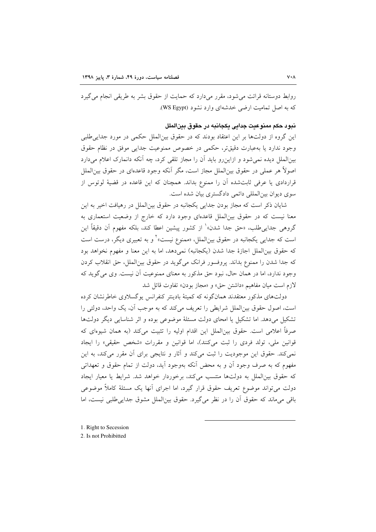روابط دوستانه قرائت می شود، مقرر میدارد که حمایت از حقوق بشر به طریقی انجام می گیرد که به اصل تمامت ارضه خدشهای وارد نشود (WS Egypt).

## نيو د حکم ممنوعت جدايي پکجانته در حقوق پين الملل

این گروه از دولتها بر این اعتقاد بودند که در حقوق بینالملل حکمی در مورد جدایی طلبی وجود ندارد يا بهعبارت دقيقتر، حكمي در خصوص ممنوعيت جدايي موفق در نظام حقوق بینالملل دیده نمیشود و ازاین رو باید آن را مجاز تلقی کرد، چه آنکه دانمارک اعلام میدارد اصولاً هر عملي در حقوق بين|لملل مجاز است، مگر آنكه وجود قاعدهاي در حقوق بين|لملل قراردادی یا عرفی ثابتشده آن را ممنوع بداند. همچنان که این قاعده در قضیهٔ لوتوس از سوی دیوان بینالمللی دائمی دادگستری بیان شده است.

شایان ذکر است که مجاز بودن جدایی یکجانبه در حقوق بینالملل در رهیافت اخیر به این معنا نیست که در حقوق بین الملل قاعدهای وجود دارد که خارج از وضعیت استعماری به گروهی جدایی طلب، «حق جدا شدن» ٰ از کشور پیشین اعطا کند، بلکه مفهوم اَن دقیقاً این است که جدایی یکجانبه در حقوق بینالملل، «ممنوع نیست»<sup>۲</sup> و به تعبیری دیگر، درست است كه حقوق بين|لملل اجازة جدا شدن (يكجانبه) نمي دهد، اما به اين معنا و مفهوم نخواهد بود كه جدا شدن را ممنوع بداند. پروفسور فرانك مي گويد در حقوق بين الملل ، حق انقلاب كردن وجود ندارد، اما در همان حال، نبود حق مذکور به معنای ممنوعیت آن نیست. وی می گوید که لازم است ميان مفاهيم «داشتن حق» و «مجاز بودن» تفاوت قائل شد

دولتهای مذکور معتقدند همانگونه که کمیتهٔ بادینتر کنفرانس یوگسلاوی خاطرنشان کرده است، اصول حقوق بین(لملل شرایطی را تعریف می کند که به موجب آن، یک واحد، دولتی را تشکیل میدهد. اما تشکیل یا امحای دولت مسئلهٔ موضوعی بوده و اثر شناسایی دیگر دولتها صرفاً اعلامی است. حقوق بین|لملل این اقدام اولیه را تثبیت میکند (به همان شیوهای که قوانین ملي، تولد فردي را ثبت مي كنند)، اما قوانين و مقررات «شخص حقيقي» را ايجاد نمی کند. حقوق این موجودیت را ثبت میکند و آثار و نتایجی برای آن مقرر میکند، به این مفهوم که به صرف وجود اَن و به محض اَنکه بهوجود اَید، دولت از تمام حقوق و تعهداتی كه حقوق بين(لملل به دولتها منتسب مي كند، برخوردار خواهد شد. شرايط يا معيار ايجاد دولت می تواند موضوع تعریف حقوق قرار گیرد، اما اجرای آنها یک مسئلهٔ کاملاً موضوعی باقي مي ماند كه حقوق أن را در نظر مي گيرد. حقوق بين|لملل مشوق جدايي طلبي نيست، اما

1. Right to Secession

<sup>2.</sup> Is not Prohibitted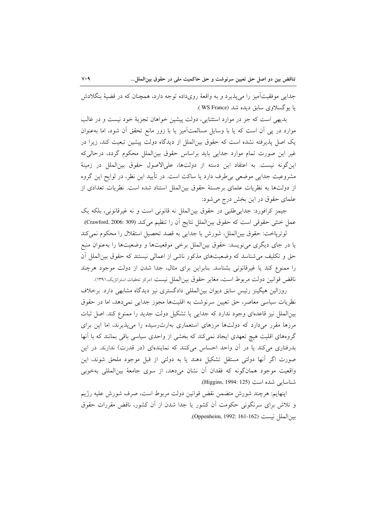جدایی موفقیتآمیز را می پذیرد و به واقعهٔ رویداده توجه دارد، همچنان که در قضیهٔ بنگلادش يا بوگسلاوي سابق ديده شد (WS France).

بدیهی است که جز در موارد استثنایی، دولت پیشین خواهان تجزیهٔ خود نیست و در غالب موارد در پی آن است که یا با وسایل مسالمتآمیز یا با زور مانع تحقق آن شود، اما بهعنوان یک اصل پذیرفته نشده است که حقوق بین الملل از دیدگاه دولت پیشین تبعیت کند، زیرا در غیر این صورت تمام موارد جدایی باید براساس حقوق بینالملل محکوم گردد، درحالی که اين گونه نيست. به اعتقاد اين دسته از دولتها، علىالاصول حقوق بين الملل در زمينهٔ مشروعیت جدایی موضعی بی طرف دارد یا ساکت است. در تأیید این نظر، در لوایح این گروه از دولتها به نظریات علمای برجستهٔ حقوق بین الملل استناد شده است. نظریات تعدادی از علمای حقوق در این بخش درج می شود:

جيمز كرافورد: جدايي طلبي در حقوق بين|لملل نه قانوني است و نه غيرقانوني، بلكه يک عمل خنثي حقوقي است كه حقوق بين|لملل نتايج أن را تنظيم ميكند (Crawford, 2006: 309).

لوترپاخت: حقوق بینالملل، شورش یا جدایی به قصد تحصیل استقلال را محکوم نمی کند یا در جای دیگری می نویسد: حقوق بین الملل برخی موقعیتها و وضعیتها را بهعنوان منبع حق و تکلیف می شناسد که وضعیتهای مذکور ناشی از اعمالی نیستند که حقوق بین الملل آن را ممنوع كند يا غيرقانوني بشناسد. بنابراين براي مثال، جدا شدن از دولت موجود هرچند ناقض قوانين دولت مربوط است، مغاير حقوق بين الملل نيست (مركز تحقيات استراتزيك،١٣٩١).

روزالین هیگینز رئیس سابق دیوان بین|لمللی دادگستری نیز دیدگاه مشابهی دارد. برخلاف نظریات سیاسی معاصر، حق تعیین سرنوشت به اقلیتها مجوز جدایی نمی دهد، اما در حقوق بینالملل نیز قاعدهای وجود ندارد که جدایی یا تشکیل دولت جدید را ممنوع کند. اصل ثبات مرزها مقرر میدارد که دولتها مرزهای استعماری بهارث رسیده را میپذیرند، اما این برای گروههای اقلیت هیچ تعهدی ایجاد نمیکند که بخشی از واحدی سیاسی باقی بمانند که با آنها بدرفتاری میکند یا در آن واحد احساس میکنند که نمایندهای (در قدرت) ندارند. در این صورت اگر آنها دولتی مستقل تشکیل دهند یا به دولتی از قبل موجود ملحق شوند، این واقعیت موجود همانگونه که فقدان آن نشان میدهد، از سوی جامعهٔ بینالمللی بهخوبی شناسايي شده است (Higgins, 1994: 125).

اپنهايم: هرچند شورش متضمن نقض قوانين دولت مربوط است، صرف شورش عليه رژيم و تلاش برای سرنگونی حکومت آن کشور یا جدا شدن از آن کشور، ناقض مقررات حقوق بين الملل نيست (Oppenheim, 1992: 161-162).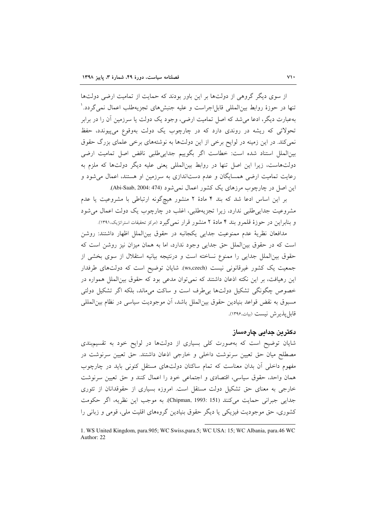از سوی دیگر گروهی از دولتها بر این باور بودند که حمایت از تمامیت ارضی دولتها تنها در حوزهٔ روابط بین(لمللی قابل(جراست و علیه جنبش۵های تجزیهطلب اعمال نمی گردد. ۱ بهعبارت دیگر، ادعا می شد که اصل تمامیت ارضی، وجود یک دولت یا سرزمین آن را در برابر تحولاتی که ریشه در روندی دارد که در چارچوب یک دولت بهوقوع میپیوندد، حفظ نمی کند. در این زمینه در لوایح برخی از این دولتها به نوشتههای برخی علمای بزرگ حقوق بينالملل استناد شده است: خطاست اگر بگوييم جدايي طلبي ناقض اصل تماميت ارضي دولتهاست، زیرا این اصل تنها در روابط بین|لمللی یعنی علیه دیگر دولتها که ملزم به رعایت تمامیت ارضی همسایگان و عدم دستاندازی به سرزمین او هستند، اعمال می شود و این اصل در چارچوب مرزهای یک کشور اعمال نمی شود (Abi-Saab, 2004: 474).

بر این اساس ادعا شد که بند ۴ مادهٔ ۲ منشور هیچگونه ارتباطی با مشروعیت یا عدم مشروعیت جدایی طلبی ندارد، زیرا تجزیهطلبی، اغلب در چارچوب یک دولت اعمال می شود و بنابراین در حوزهٔ قلمرو بند ۴ مادهٔ ۲ منشور قرار نمی گیرد (مرکز تحقیقات استراتژیک،۱۳۹۱).

مدافعان نظرية عدم ممنوعيت جدايي يكجانبه در حقوق بين الملل اظهار داشتند: روشن است كه در حقوق بين الملل حق جدايي وجود ندارد، اما به همان ميزان نيز روشن است كه حقوق بینالملل جدایی را ممنوع نساخته است و درنتیجه بیانیه استقلال از سوی بخشی از جمعیت یک کشور غیرقانونی نیست (ws,czech). شایان توضیح است که دولتهای طرفدار این رهیافت، بر این نکته اذعان داشتند که نمیتوان مدعی بود که حقوق بینالملل همواره در خصوص چگونگی تشکیل دولتها بی طرف است و ساکت می ماند، بلکه اگر تشکیل دولتی مسبوق به نقض قواعد بنيادين حقوق بين|لملل باشد، أن موجوديت سياسي در نظام بين|لمللي قابل يذير ش نيست (بيات،١٣٩۶).

#### دکترین جدایی چارەساز

شایان توضیح است که بهصورت کلی بسیاری از دولتها در لوایح خود به تقسیم بندی مصطلح میان حق تعیین سرنوشت داخلی و خارجی اذعان داشتند. حق تعیین سرنوشت در مفهوم داخلی آن بدان معناست که تمام ساکنان دولتهای مستقل کنونی باید در چارچوب همان واحد، حقوق سیاسی، اقتصادی و اجتماعی خود را اعمال کنند و حق تعیین سرنوشت خارجی به معنای حق تشکیل دولت مستقل است. امروزه بسیاری از حقوقدانان از تئوری جدايي جبراني حمايت مي كنند (Chipman, 1993: 151). به موجب اين نظريه، اگر حكومت کشوری، حق موجودیت فیزیکی یا دیگر حقوق بنیادین گروههای اقلیت ملی، قومی و زبانی را

<sup>1.</sup> WS United Kingdom, para.905; WC Swiss, para.5; WC USA: 15; WC Albania, para.46 WC Author: 22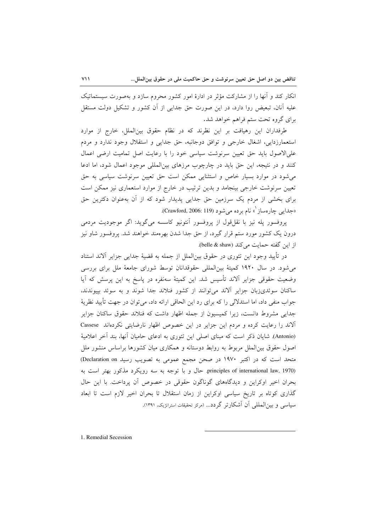انکار کند و اّنها را از مشارکت مؤثر در ادارهٔ امور کشور محروم سازد و بهصورت سیستماتیک علیه آنان، تبعیض روا دارد، در این صورت حق جدایی از آن کشور و تشکیل دولت مستقل برای گروه تحت ستم فراهم خواهد شد.

طرفداران این رهیافت بر این نظرند که در نظام حقوق بینالملل، خارج از موارد استعمارزدایی، اشغال خارجی و توافق دوجانبه، حق جدایی و استقلال وجود ندارد و مردم على الاصول بايد حق تعيين سرنوشت سياسي خود را با رعايت اصل تماميت ارضى اعمال کنند و در نتیجه، این حق باید در چارچوب مرزهای بین المللی موجود اعمال شود، اما ادعا می شود در موارد بسیار خاص و استثنایی ممکن است حق تعیین سرنوشت سیاسی به حق تعیین سرنوشت خارجی بینجامد و بدین ترتیب در خارج از موارد استعماری نیز ممکن است برای بخشی از مردم یک سرزمین حق جدایی پدیدار شود که از آن بهعنوان دکترین حق «جدایی چارهساز `» نام بر ده می شو د (Crawford, 2006: 119).

پروفسور پله نیز با نقل،قول از پروفسور أنتونیو کاسسه میگوید: اگر موجودیت مردمی درون یک کشور مورد ستم قرار گیرد، از حق جدا شدن بهرهمند خواهند شد. پروفسور شاو نیز از این گفته حمایت میکند (belle & shaw).

در تأييد وجود اين تئوري در حقوق بين|لملل از جمله به قضيهٔ جدايي جزاير آلاند استناد می شود. در سال ۱۹۲۰ کمیتهٔ بین المللی حقوقدانان توسط شورای جامعهٔ ملل برای بررسی وضعیت حقوقی جزایر آلاند تأسیس شد. این کمیتهٔ سهنفره در پاسخ به این پرسش که آیا ساکنان سوئدیزبان جزایر آلاند می توانند از کشور فنلاند جدا شوند و به سوئد بییوندند، جواب منفي داد، اما استدلالي را كه براي رد اين الحاقي ارائه داد، مي توان در جهت تأييد نظريهٔ جدایی مشروط دانست، زیرا کمیسیون از جمله اظهار داشت که فنلاند حقوق ساکنان جزایر آلاند را رعایت کرده و مردم این جزایر در این خصوص اظهار نارضایتی نکردهاند Cassese (Antonio). شایان ذکر است که مبنای اصلی این تئوری به ادعای حامیان آنها، بند آخر اعلامیهٔ اصول حقوق بین|لملل مربوط به روابط دوستانه و همکاری میان کشورها براساس منشور ملل متحد است که در اکتبر ۱۹۷۰ در صحن مجمع عمومی به تصویب رسید Declaration on) principles of international law, 1970). حال و با توجه به سه رويكرد مذكور بهتر است به بحران اخیر اوکراین و دیدگاههای گوناگون حقوقی در خصوص آن پرداخت. با این حال گذاری کوتاه بر تاریخ سیاسی اوکراین از زمان استقلال تا بحران اخیر لازم است تا ابعاد سیاسی و بین|لمللی آن آشکارتر گردد... (مرکز تحقیقات استراتژیک، ۱۳۹۱).

1. Remedial Secession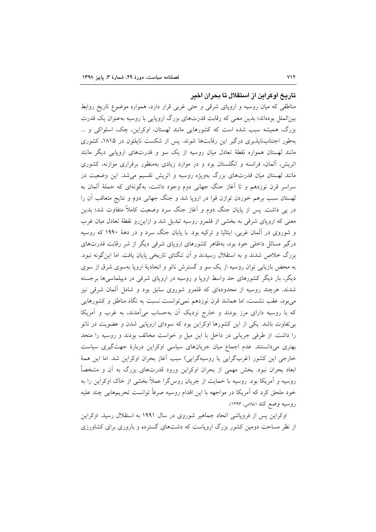#### تاریخ اوکراین از استقلال تا بحران اخیر

مناطقی که میان روسیه و اروپای شرقی و حتی غربی قرار دارد، همواره موضوع تاریخ روابط بینالملل بودهاند؛ بدین معنی که رقابت قدرتهای بزرگ اروپایی با روسیه بهعنوان یک قدرت بزرگ، همیشه سبب شده است که کشورهایی مانند لهستان، اوکراین، چک، اسلواکی و … بهطور اجتنابناپذیری درگیر این رقابتها شوند. پس از شکست ناپلئون در ۱۸۱۵، کشوری مانند لهستان همواره نقطهٔ تعادل میان روسیه از یک سو و قدرتهای اروپایی دیگر مانند اتریش، آلمان، فرانسه و انگلستان بود و در موارد زیادی بهمنظور برقراری موازنه، کشوری مانند لهستان میان قدرتهای بزرگ بهویژه روسیه و اتریش تقسیم میشد. این وضعیت در سراسر قرن نوزدهم و تا آغاز جنگ جهانی دوم وجود داشت، بهگونهای که حملهٔ آلمان به لهستان سبب برهم خوردن توازن قوا در اروپا شد و جنگ جهانی دوم و نتایج متعاقب آن را در پی داشت. پس از پایان جنگ دوم و آغاز جنگ سرد وضعیت کاملاً متفاوت شد؛ بدین معنی که اروپای شرقی به بخشی از قلمرو روسیه تبدیل شد و ازاینرو نقطهٔ تعادل میان غرب و شوروی در آلمان غربی، ایتالیا و ترکیه بود. با پایان جنگ سرد و در دههٔ ۱۹۹۰ که روسیه درگیر مسائل داخلی خود بود، بهظاهر کشورهای اروپای شرقی دیگر از شر رقابت قدرتهای بزرگ خلاص شدند و به استقلال رسیدند و آن تنگنای تاریخی پایان یافت. اما این گونه نبود. به محض بازیابی توان روسیه از یک سو و گسترش ناتو و اتحادیهٔ اروپا بهسوی شرق از سوی دیگر، بار دیگر کشورهای حد واسط اروپا و روسیه در اروپای شرقی در دیپلماسیها برجسته شدند. هرچند روسیه از محدودهای که قلمرو شوروی سابق بود و شامل آلمان شرقی نیز میبود، عقب نشست، اما همانند قرن نوزدهم نمیتوانست نسبت به نگاه مناطق و کشورهایی که با روسیه دارای مرز بودند و خارج نزدیک آن بهحساب میآمدند، به غرب و آمریکا بی تفاوت باشد. یکی از این کشورها اوکراین بود که سودای اروپایی شدن و عضویت در ناتو را داشت. از طرفی جریانی در داخل با این میل و خواست مخالف بودند و روسیه را متحد بهتری میدانستند. عدم اجماع میان جریانهای سیاسی اوکراین دربارهٔ جهتگیری سیاست خارجي اين كشور (غربگرايي يا روسيهگرايي) سبب آغاز بحران اوكراين شد. اما اين همهٔ ابعاد بحران نبود. بخش مهمی از بحران اوکراین ورود قدرتهای بزرگ به آن و مشخصاً روسیه و آمریکا بود. روسیه با حمایت از جریان روس گرا عملاً بخشی از خاک اوکراین را به خود ملحق کرد که آمریکا در مواجهه با این اقدام روسیه صرفاً توانست تحریمهایی چند علیه روسيه وضع كند (غلامي، ١٣٩٣).

اوکراین پس از فروپاشی اتحاد جماهیر شوروی در سال ۱۹۹۱ به استقلال رسید. اوکراین از نظر مساحت دومین کشور بزرگ اروپاست که دشتهای گسترده و باروری برای کشاورزی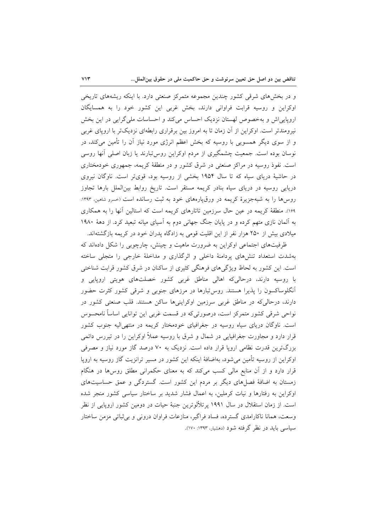و در بخشهای شرقی کشور چندین مجموعه متمرکز صنعتی دارد. با اینکه ریشههای تاریخی اوکراین و روسیه قرابت فراوانی دارند، بخش غربی این کشور خود را به همسایگان اروپاییاش و بهخصوص لهستان نزدیک احساس میکند و احساسات ملی گرایی در این بخش نیرومندتر است. اوکراین از آن زمان تا به امروز بین برقراری رابطهای نزدیکتر با اروپای غربی و از سوی دیگر همسویی با روسیه که بخش اعظم انرژی مورد نیاز آن را تأمین میکند، در نوسان بوده است. جمعیت چشمگیری از مردم اوکراین روس تبارند یا زبان اصلی آنها روسی است. نفوذ روسیه در مراکز صنعتی در شرق کشور و در منطقهٔ کریمه، جمهوری خودمختاری در حاشیهٔ دریای سیاه که تا سال ۱۹۵۴ بخشی از روسیه بود، قویتر است. ناوگان نیروی دریایی روسیه در دریای سیاه بنادر کریمه مستقر است. تاریخ روابط بین الملل بارها تجاوز روسها را به شبهجزیرهٔ کریمه در ورق،یارههای خود به ثبت رسانده است (حسرو شاهین، ۱۳۹۳: ۱۶۹). منطقهٔ کریمه در عین حال سرزمین تاتارهای کریمه است که استالین آنها را به همکاری به آلمان نازی متهم کرده و در پایان جنگ جهانی دوم به آسیای میانه تبعید کرد. از دههٔ ۱۹۸۰ میلادی بیش از ۲۵۰ هزار نفر از این اقلیت قومی به زادگاه پدران خود در کریمه بازگشتهاند.

ظرفیتهای اجتماعی اوکراین به ضرورت ماهیت و چینش، چارچوبی را شکل دادهاند که بهشدت استعداد تنشهای پردامنهٔ داخلی و اثرگذاری و مداخلهٔ خارجی را متجلی ساخته است. این کشور به لحاظ ویژگیهای فرهنگی کثیری از ساکنان در شرق کشور قرابت شناختی با روسیه دارند، درحالیکه اهالی مناطق غربی کشور خصلتهای هویتی اروپایی و آنگلوساکسون را پذیرا هستند. روس<sup></sup>تبارها در مرزهای جنوبی و شرقی کشور کثرت حضور دارند، درحالی که در مناطق غربی سرزمین اوکراینیها ساکن هستند. قلب صنعتی کشور در نواحی شرقی کشور متمرکز است، درصورتیکه در قسمت غربی این توانایی اساساً نامحسوس است. ناوگان دریای سیاه روسیه در جغرافیای خودمختار کریمه در منتهی الیه جنوب کشور قرار دارد و مجاورت جغرافیایی در شمال و شرق با روسیه عملاً اوکراین را در تیررس دائمی بزرگترین قدرت نظامی اروپا قرار داده است. نزدیک به ۷۰ درصد گاز مورد نیاز و مصرفی اوکراین از روسیه تأمین میشود، بهاضافهٔ اینکه این کشور در مسیر ترانزیت گاز روسیه به اروپا قرار دارد و از آن منابع مالی کسب میکند که به معنای حکمرانی مطلق روس ها در هنگام زمستان به اضافهٔ فصلهای دیگر بر مردم این کشور است. گستردگی و عمق حساسیتهای اوکراین به رفتارها و نیات کرملین، به اعمال فشار شدید بر ساختار سیاسی کشور منجر شده است. از زمان استقلال در سال ۱۹۹۱ بر تلألوترین جنبهٔ حیات در دومین کشور اروپایی از نظر وسعت، همانا ناكارامدي گسترده، فساد فراگير، منازعات فراوان دروني و بي ثباتي مزمن ساختار سیاسی باید در نظر گرفته شود (دهشیار، ۱۳۹۳: ۱۷۰).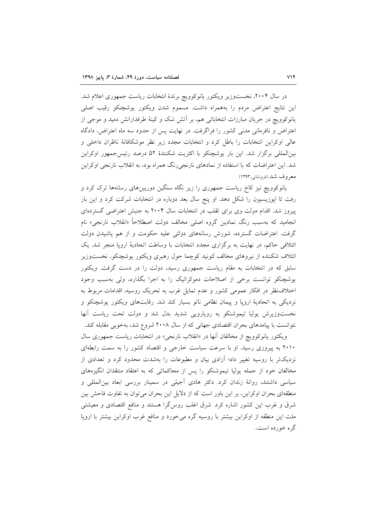در سال ۲۰۰۴، نخستوزیر ویکتور یانوکوویچ برندهٔ انتخابات ریاست جمهوری اعلام شد. این نتایج اعتراض مردم را بههمراه داشت. مسموم شدن ویکتور یوشچنکو رقیب اصلی یانوکوویچ در جریان مبارزات انتخاباتی هم، بر اتش شک و کینهٔ طرفدارانش دمید و موجی از اعتراض و نافرمانی مدنی کشور را فراگرفت. در نهایت پس از حدود سه ماه اعتراض، دادگاه عالی اوکراین انتخابات را باطل کرد و انتخابات مجدد زیر نظر موشکافانهٔ ناظران داخلی و بینالمللی برگزار شد. این بار یوشچنکو با اکثریت شکنندهٔ ۵۲ درصد رئیسجمهور اوکراین شد. این اعتراضات که با استفاده از نمادهای نارنجیرنگ همراه بود، به انقلاب نارنجی اوکراین معروف شد.(فروشاني،١٣٩٣)

یانوکوویچ نیز کاخ ریاست جمهوری را زیر نگاه سنگین دوربینهای رسانهها ترک کرد و رفت تا اپوزیسیون را شکل دهد. او پنج سال بعد دوباره در انتخابات شرکت کرد و این بار پیروز شد. اقدام دولت وی برای تقلب در انتخابات سال ۲۰۰۴ به جنبش اعتراضی گستردهای انجامید که بهسبب رنگ نمادین گروه اصل<sub>ی</sub> مخالف دولت اصطلاحاً «انقلاب نارنجی» نام گرفت. اعتراضات گسترده، شورش رسانههای دولتی علیه حکومت و از هم پاشیدن دولت ائتلافی حاکم، در نهایت به برگزاری مجدد انتخابات با وساطت اتحادیهٔ اروپا منجر شد. یک ائتلاف شكننده از نيروهاى مخالف لئونيد كوچما حول رهبرى ويكتور يوشچنكو، نخستوزير سابق که در انتخابات به مقام ریاست جمهوری رسید، دولت را در دست گرفت. ویکتور یوشچنکو توانست برخی از اصلاحات دموکراتیک را به اجرا بگذارد، ولی بهسبب وجود اختلاف نظر در افکار عمومی کشور و عدم تمایل غرب به تحریک روسیه، اقدامات مربوط به نزدیکی به اتحادیهٔ اروپا و پیمان نظامی ناتو بسیار کند شد. رقابتهای ویکتور یوشچنکو و نخستوزیرش یولیا تیموشنکو به رویارویی شدید بدل شد و دولت تحت ریاست آنها نتوانست با پیامدهای بحران اقتصادی جهانی که از سال ۲۰۰۸ شروع شد، بهخوبی مقابله کند.

ویکتور یانوکوویچ از مخالفان آنها در «انقلاب نارنجی» در انتخابات ریاست جمهوری سال ۲۰۱۰ به پیروزی رسید. او با سرعت سیاست خارجی و اقتصاد کشور را به سمت رابطهای نزدیکتر با روسیه تغییر داد؛ آزادی بیان و مطبوعات را بهشدت محدود کرد و تعدادی از مخالفان خود از جمله پولیا تیموشنکو را پس از محاکماتی که به اعتقاد منتقدان انگیزههای سیاسی داشتند، روانهٔ زندان کرد. دکتر هادی اَجیلی در سمینار بررسی ابعاد بینالمللی و منطقهای بحران اوکراین، بر این باور است که از دلایل این بحران می توان به تفاوت فاحش بین شرق و غرب این کشور اشاره کرد. شرق اغلب روس¢را هستند و منافع اقتصادی و معیشتی ملت این منطقه از اوکراین بیشتر با روسیه گره میخورد و منافع غرب اوکراین بیشتر با اروپا گره خورده است.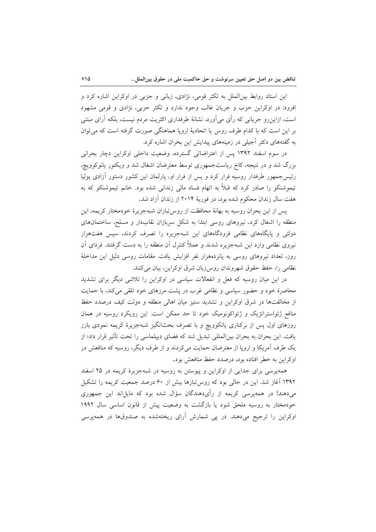این استاد روابط بینالملل به تکثر قومی، نژادی، زبانی و حزبی در اوکراین اشاره کرد و افزود: در اوکراین حزب و جریان غالب وجود ندارد و تکثر حزبی، نژادی و قومی مشهود است، ازاین٫رو جریانی که رأی میٲورد، نشانهٔ طرفداری اکثریت مردم نیست، بلکه ٲرای مبتنی بر این است که با کدام طرف روس یا اتحادیهٔ اروپا هماهنگی صورت گرفته است که می توان به گفتههای دکتر آجیلی در زمینههای پیدایش این بحران اشاره کرد.

در سوم اسفند ۱۳۹۲ پس از اعتراضاتی گسترده، وضعیت داخلی اوکراین دچار بحرانی بزرگ شد و در نتیجه، کاخ ریاستجمهوری توسط معترضان اشغال شد و ویکتور یانوکوویچ، رئیس جمهور طرفدار روسیه فرار کرد و پس از فرار او، پارلمان این کشور دستور آزادی پولیا تیموشنکو را صادر کرد که قبلاً به اتهام فساد مالی زندانی شده بود. خانم تیموشنکو که به هفت سال زندان محکوم شده بود، در فوریهٔ ۲۰۱۴ از زندان آزاد شد.

يس از اين بحران روسيه به بهانهٔ محافظت از روس تباران شبهجزيرهٔ خودمختار كريمه، اين منطقه را اشغال کرد. نیروهای روسی ابتدا به شکل سربازان نقابدار و مسلح، ساختمانهای دولتی و پایگاههای نظامی فرودگاههای این شبهجزیره را تصرف کردند، سپس هفتهزار نیروی نظامی وارد این شبهجزیره شدند و عملاً کنترل آن منطقه را به دست گرفتند. فردای آن روز، تعداد نیروهای روسی به پانزدههزار نفر افزایش یافت. مقامات روسی دلیل این مداخلهٔ نظامی را، حفظ حقوق شهروندان روس(بان شرق اوکراین، بیان میکنند.

در این میان روسیه که فعل و انفعالات سیاسی در اوکراین را تلاشی دیگر برای تشدید محاصرهٔ خود و حضور سیاسی و نظامی غرب در پشت مرزهای خود تلقی میکند، با حمایت از مخالفتها در شرق اوكراين و تشديد ستيز ميان اهالي منطقه و دولت كيف درصدد حفظ منافع ژئواستراتژیک و ژئواکونومیک خود تا حد ممکن است. این رویکرد روسیه در همان روزهای اول پس از برکناری یانکوویچ و با تصرف بحثانگیز شبهجزیرهٔ کریمه نمودی بارز یافت. این بحران به بحران بینالمللی تبدیل شد که فضای دیپلماسی را تحت تأثیر قرار داد؛ از یک طرف اَمریکا و اروپا از معترضان حمایت میکردند و از طرف دیگر، روسیه که منافعش در اوكراين به خطر افتاده بود، درصدد حفظ منافعش بود.

همهپرسی برای جدایی از اوکراین و پیوستن به روسیه در شبهجزیرهٔ کریمه در ۲۵ اسفند ۱۳۹۲ آغاز شد. این در حالی بود که روس تبارها بیش از ۶۰ درصد جمعیت کریمه را تشکیل می دهند! در همهیرسی کریمه از رأیدهندگان سؤال شده بود که مایلاند این جمهوری خودمختار به روسیه ملحق شود یا بازگشت به وضعیت پیش از قانون اساسی سال ۱۹۹۲ اوکراین را ترجیح میدهند. در پی شمارش آرای ریختهشده به صندوقها در همهپرسی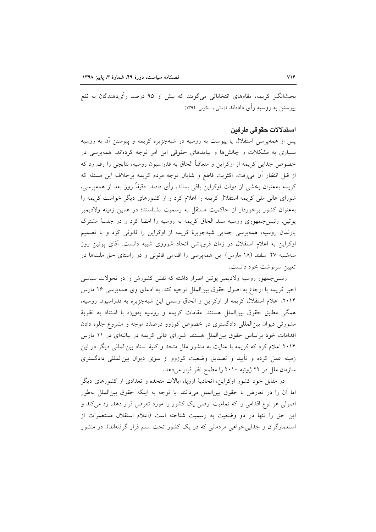بحثانگیز کریمه، مقامهای انتخاباتی میگویند که بیش از ۹۵ درصد رأیدهندگان به نفع پیوستن به روسیه رأی دادهاند (زمانی و نیکویی: ۱۳۹۴).

#### استدلالات حقوقي طرفين

پس از همهپرسی استقلال یا پیوست به روسیه در شبهجزیره کریمه و پیوستن آن به روسیه بسیاری به مشکلات و چالشها و پیامدهای حقوقی این امر توجه کردهاند. همهپرسی در خصوص جدایی کریمه از اوکراین و متعاقباً الحاق به فدراسیون روسیه، نتایجی را رقم زد که از قبل انتظار آن میرفت. اکثریت قاطع و شایان توجه مردم کریمه برخلاف این مسئله که کریمه بهعنوان بخشی از دولت اوکراین باقی بماند، رأی دادند. دقیقاً روز بعد از همهپرسی، شورای عالی ملی کریمه استقلال کریمه را اعلام کرد و از کشورهای دیگر خواست کریمه را بهعنوان کشور برخوردار از حاکمیت مستقل به رسمیت بشناسند؛ در همین زمینه ولادیمیر یوتین، رئیس جمهوری روسیه سند الحاق کریمه به روسیه را امضا کرد و در جلسهٔ مشترک پارلمان روسیه، همهپرسی جدایی شبهجزیرهٔ کریمه از اوکراین را قانونی کرد و با تصمیم اوکراین به اعلام استقلال در زمان فروپاشی اتحاد شوروی شبیه دانست. آقای پوتین روز سهشنبه ۲۷ اسفند (۱۸ مارس) این همهپرسی را اقدامی قانونی و در راستای حق ملتها در تعيين سرنوشت خود دانست.

رئیس جمهور روسیه ولادیمیر پوتین اصرار داشته که نقش کشورش را در تحولات سیاسی اخیر کریمه با ارجاع به اصول حقوق بین|لملل توجیه کند. به ادعای وی همهپرسی ۱۶ مارس ۲۰۱۴، اعلام استقلال كريمه از اوكراين و الحاق رسمي اين شبهجزيره به فدراسيون روسيه، همگی مطابق حقوق بین الملل هستند. مقامات کریمه و روسیه بهویژه با استناد به نظریهٔ مشورتی دیوان بینالمللی دادگستری در خصوص کوزوو درصدد موجه و مشروع جلوه دادن اقدامات خود براساس حقوق بین الملل هستند. شورای عالی کریمه در بیانیهای در ١١ مارس ۲۰۱۴ اعلام کرد که کریمه با عنایت به منشور ملل متحد و کلیهٔ اسناد بینالمللی دیگر در این زمینه عمل کرده و تأیید و تصدیق وضعیت کوزوو از سوی دیوان بینالمللی دادگستری سازمان ملل در ۲۲ ژوئیه ۲۰۱۰ را مطمح نظر قرار میدهد.

در مقابل خود کشور اوکراین، اتحادیهٔ اروپا، ایالات متحده و تعدادی از کشورهای دیگر اما أن را در تعارض با حقوق بين|لملل مىدانند. با توجه به اينكه حقوق بين|لملل بهطور اصولی هر نوع اقدامی را که تمامیت ارضی یک کشور را مورد تعرض قرار دهد، رد میکند و این حق را تنها در دو وضعیت به رسمیت شناخته است (اعلام استقلال مستعمرات از استعمارگران و جدایی خواهی مردمانی که در یک کشور تحت ستم قرار گرفتهاند). در منشور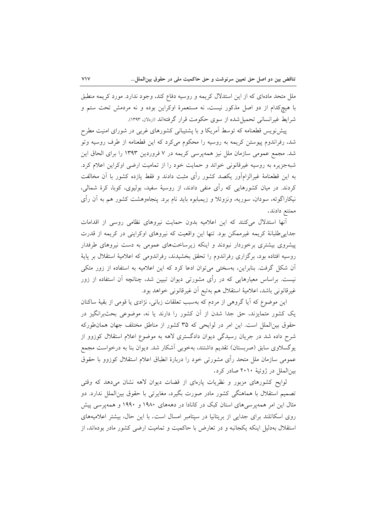ملل متحد مادهای که از این استدلال کریمه و روسیه دفاع کند، وجود ندارد. مورد کریمه منطبق با هیچکدام از دو اصل مذکور نیست، نه مستعمرهٔ اوکراین بوده و نه مردمش تحت ستم و شرايط غيرانساني تحميل شده از سوى حكومت قرار گرفتهاند (اردلان ١٣٩٣).

پیش نویس قطعنامه که توسط آمریکا و با پشتیبانی کشورهای غربی در شورای امنیت مطرح شد، رفراندوم پیوستن کریمه به روسیه را محکوم میکرد که این قطعنامه از طرف روسیه وتو شد. مجمع عمومی سازمان ملل نیز همهپرسی کریمه در ۷ فروردین ۱۳۹۳ را برای الحاق این شبهجزیره به روسیه غیرقانونی خواند و حمایت خود را از تمامیت ارضی اوکراین اعلام کرد. به این قطعنامهٔ غیرالزامآور یکصد کشور رأی مثبت دادند و فقط یازده کشور با آن مخالفت کردند. در میان کشورهایی که رأی منفی دادند، از روسیهٔ سفید، بولیوی، کوبا، کرهٔ شمالی، نیکاراگوئه، سودان، سوریه، ونزوئلا و زیمبابوه باید نام برد. پنجاهوهشت کشور هم به آن رأی ممتنع دادند.

أنها استدلال میکنند که این اعلامیه بدون حمایت نیروهای نظامی روسی از اقدامات جدایی طلبانهٔ کریمه غیرممکن بود. تنها این واقعیت که نیروهای اوکراینی در کریمه از قدرت پیشروی بیشتری برخوردار نبودند و اینکه زیرساختهای عمومی به دست نیروهای طرفدار روسیه افتاده بود، برگزاری رفراندوم را تحقق بخشیدند، رفراندومی که اعلامیهٔ استقلال بر پایهٔ آن شکل گرفت. بنابراین، بهسختی می توان ادعا کرد که این اعلامیه به استفاده از زور متکی نیست. براساس معیارهایی که در رأی مشورتی دیوان تبیین شد، چنانچه آن استفاده از زور غيرقانوني باشد، اعلامية استقلال هم بهتبع أن غيرقانوني خواهد بود.

این موضوع که آیا گروهی از مردم که بهسبب تعلقات زبانی، نژادی یا قومی از بقیهٔ ساکنان یک کشور متمایزند، حق جدا شدن از أن کشور را دارند یا نه، موضوعی بحثبرانگیز در حقوق بین الملل است. این امر در لوایحی که ۳۵ کشور از مناطق مختلف جهان همان طورکه شرح داده شد در جریان رسیدگی دیوان دادگستری لاهه به موضوع اعلام استقلال کوزوو از یوگسلاوی سابق (صربستان) تقدیم داشتند، بهخوبی آشکار شد. دیوان بنا به درخواست مجمع عمومی سازمان ملل متحد رأی مشورتی خود را دربارهٔ انطباق اعلام استقلال کوزوو با حقوق بینالملل در ژوئیهٔ ۲۰۱۰ صادر کرد.

لوایح کشورهای مزبور و نظریات پارهای از قضات دیوان لاهه نشان میدهد که وقتی تصمیم استقلال با هماهنگی کشور مادر صورت بگیرد، مغایرتی با حقوق بین|لملل ندارد. دو مثال این امر همه پرسی های استان کبک در کانادا در دهههای ۱۹۸۰ و ۱۹۹۰ و همه پرسی پیش روی اسکاتلند برای جدایی از بریتانیا در سپتامبر امسال است. با این حال، بیشتر اعلامیههای استقلال بهدلیل اینکه یکجانبه و در تعارض با حاکمیت و تمامیت ارضی کشور مادر بودهاند، از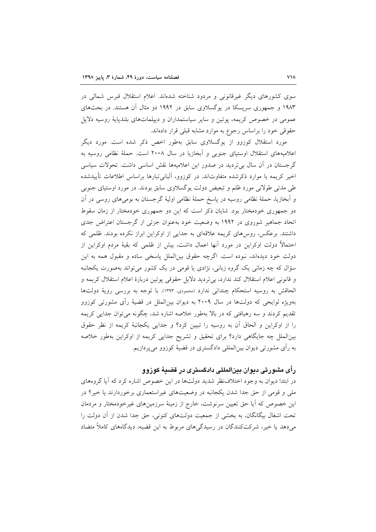سوی کشورهای دیگر غیرقانونی و مردود شناخته شدهاند. اعلام استقلال قبرس شمالی در ۱۹۸۳ و جمهوری سرپسکا در یوگسلاوی سابق در ۱۹۹۲ دو مثال آن هستند. در بحثهای عمومی در خصوص کریمه، پوتین و سایر سیاستمداران و دیپلماتهای بلندپایهٔ روسیه دلایل حقوقی خود را براساس رجوع به موارد مشابه قبلی قرار دادهاند.

مورد استقلال کوزوو از یوگسلاوی سابق بهطور اخص ذکر شده است. مورد دیگر اعلامیههای استقلال اوستیای جنوبی و آبخازیا در سال ۲۰۰۸ است. حملهٔ نظامی روسیه به گرجستان در آن سال بیتردید در صدور این اعلامیهها نقش اساسی داشت. تحولات سیاسی اخیر کریمه با موارد ذکرشده متفاوتاند. در کوزوو، آلبانی تبارها براساس اطلاعات تأییدشده طی مدتی طولانی مورد ظلم و تبعیض دولت یوگسلاوی سابق بودند. در مورد اوستیای جنوبی و اّبخازیا، حملهٔ نظامی روسیه در پاسخ حملهٔ نظامی اولیهٔ گرجستان به بومی۵ای روسی در اَن دو جمهوری خودمختار بود. شایان ذکر است که این دو جمهوری خودمختار از زمان سقوط اتحاد جماهیر شوروی در ۱۹۹۲ به وضعیت خود به عنوان جزئی از گرجستان اعتراض جدی داشتند. برعکس، روس۵ای کریمه علاقهای به جدایی از اوکراین ابراز نکرده بودند. ظلمی که احتمالاً دولت اوکراین در مورد آنها اعمال داشت، بیش از ظلمی که بقیهٔ مردم اوکراین از دولت خود دیدهاند، نبوده است. اگرچه حقوق بینالملل پاسخی ساده و مقبول همه به این سؤال که چه زمانی یک گروه زبانی، نژادی یا قومی در یک کشور می تواند بهصورت یکجانبه و قانونی اعلام استقلال کند ندارد، بی تردید دلایل حقوقی پوتین دربارهٔ اعلام استقلال کریمه و الحاقش به روسيه استحكام چندانى ندارد (محمودى، ١٣٩٣). با توجه به بررسى روية دولتها بهویژه لوایحی که دولتها در سال ۲۰۰۹ به دیوان بینالملل در قضیهٔ رأی مشورتی کوزوو تقدیم کردند و سه رهیافتی که در بالا بهطور خلاصه اشاره شد، چگونه میتوان جدایی کریمه را از اوکراین و الحاق آن به روسیه را تبیین کرد؟ و جدایی یکجانبهٔ کریمه از نظر حقوق بینالملل چه جایگاهی دارد؟ برای تحقیق و تشریح جدایی کریمه از اوکراین بهطور خلاصه به رأى مشورتى ديوان بين|لمللي دادگسترى در قضيهٔ كوزوو مىپردازيم.

# رأی مشورتی دیوان بینالمللی دادگستری در قضیهٔ کوزوو

در ابتدا دیوان به وجود اختلاف ظر شدید دولتها در این خصوص اشاره کرد که آیا گروههای ملی و قومی از حق جدا شدن یکجانبه در وضعیتهای غیراستعماری برخوردارند یا خیر؟ در این خصوص که آیا حق تعیین سرنوشت، خارج از زمینهٔ سرزمینهای غیرخودمختار و مردمان تحت اشغال بیگانگان، به بخشی از جمعیت دولتهای کنونی، حق جدا شدن از آن دولت را می دهد یا خیر، شرکتکنندگان در رسیدگی های مربوط به این قضیه، دیدگاههای کاملاً متضاد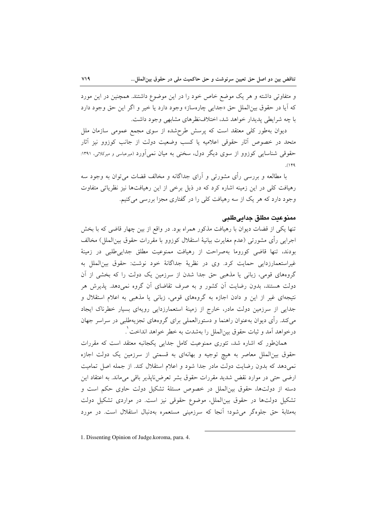و متفاوتی داشته و هر یک موضع خاص خود را در این موضوع داشتند. همچنین در این مورد كه آيا در حقوق بين(لملل حق «جدابي چارهساز» وجود دارد يا خير و اگر اين حق وجود دارد با چه شرايطي پديدار خواهد شد، اختلاف ظرهاي مشابهي وجود داشت.

دیوان بهطور کلی معتقد است که پرسش طرحشده از سوی مجمع عمومی سازمان ملل متحد در خصوص آثار حقوقی اعلامیه یا کسب وضعیت دولت از جانب کوزوو نیز آثار حقوقی شناسایی کوزوو از سوی دیگر دول، سخنی به میان نمی آورد (میرعباسی و میرکلائی، ۱۳۹۱:  $(149)$ 

با مطالعه و بررسی رأی مشورتی و آرای جداگانه و مخالف قضات می توان به وجود سه رهیافت کلی در این زمینه اشاره کرد که در ذیل برخی از این رهیافتها نیز نظریاتی متفاوت وجود دارد که هر یک از سه رهیافت کلی را در گفتاری مجزا بررسی میکنیم.

## ممنوعيت مطلق جدابيطليي

تنها یکی از قضات دیوان با رهیافت مذکور همراه بود. در واقع از بین چهار قاضی که با بخش اجرايي رأى مشورتي (عدم مغايرت بيانيهٔ استقلال کوزوو با مقررات حقوق بين|لملل) مخالف بودند، تنها قاضی کوروما بهصراحت از رهیافت ممنوعیت مطلق جدایی طلبی در زمینهٔ غیراستعمارزدایی حمایت کرد. وی در نظریهٔ جداگانهٔ خود نوشت: حقوق بینالملل به گروههای قومی، زبانی یا مذهبی حق جدا شدن از سرزمین یک دولت را که بخشی از آن دولت هستند، بدون رضایت آن کشور و به صرف تقاضای آن گروه نمیدهد. پذیرش هر نتیجهای غیر از این و دادن اجازه به گروههای قومی، زبانی یا مذهبی به اعلام استقلال و جدایی از سرزمین دولت مادر، خارج از زمینهٔ استعمارزدایی رویهای بسیار خطرناک ایجاد میکند. رأی دیوان بهعنوان راهنما و دستورالعملی برای گروههای تجزیهطلبی در سراسر جهان درخواهد اَمد و ثبات حقوق بین|لملل را بهشدت به خطر خواهد انداخت ْ.

همانطور که اشاره شد، تئوری ممنوعیت کامل جدایی یکجانبه معتقد است که مقررات حقوق بینالملل معاصر به هیچ توجیه و بهانهای به قسمتی از سرزمین یک دولت اجازه نمیدهد که بدون رضایت دولت مادر جدا شود و اعلام استقلال کند. از جمله اصل تمامیت ارضی حتی در موارد نقض شدید مقررات حقوق بشر تعرضiپذیر باقی میماند. به اعتقاد این دسته از دولتها، حقوق بینالملل در خصوص مسئلهٔ تشکیل دولت حاوی حکم است و تشکیل دولتها در حقوق بینالملل، موضوع حقوقی نیز است. در مواردی تشکیل دولت بهمثابهٔ حق جلوهگر میشود؛ آنجا که سرزمینی مستعمره بهدنبال استقلال است. در مورد

<sup>1.</sup> Dissenting Opinion of Judge.koroma, para. 4.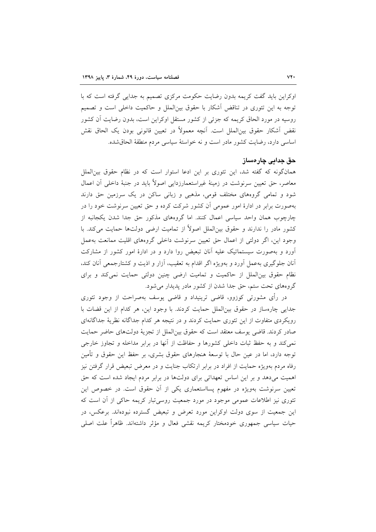اوکراین باید گفت کریمه بدون رضایت حکومت مرکزی تصمیم به جدایی گرفته است که با توجه به این تئوری در تناقض آشکار با حقوق بین|لملل و حاکمیت داخلی است و تصمیم روسیه در مورد الحاق کریمه که جزئی از کشور مستقل اوکراین است، بدون رضایت آن کشور نقض آشکار حقوق بینالملل است. آنچه معمولاً در تعیین قانونی بودن یک الحاق نقش اساسی دارد، رضایت کشور مادر است و نه خواستهٔ سیاسی مردم منطقهٔ الحاق شده.

#### حق جدایی چارەساز

همانگونه که گفته شد، این تئوری بر این ادعا استوار است که در نظام حقوق بین|لملل معاصر، حق تعیین سرنوشت در زمینهٔ غیراستعمارزدایی اصولاً باید در جنبهٔ داخلی آن اعمال شود و تمامی گروههای مختلف قومی، مذهبی و زبانی ساکن در یک سرزمین حق دارند بهصورت برابر در ادارهٔ امور عمومی اَن کشور شرکت کرده و حق تعیین سرنوشت خود را در چارچوب همان واحد سیاسی اعمال کنند. اما گروههای مذکور حق جدا شدن یکجانبه از کشور مادر را ندارند و حقوق بین|لملل اصولاً از تمامیت ارضی دولتها حمایت میکند. با وجود این، اگر دولتی از اعمال حق تعیین سرنوشت داخلی گروههای اقلیت ممانعت بهعمل آورد و بهصورت سیستماتیک علیه آنان تبعیض روا دارد و در ادارهٔ امور کشور از مشارکت آنان جلوگیری بهعمل آورد و بهویژه اگر اقدام به تعقیب، آزار و اذیت و کشتارجمعی آنان کند. نظام حقوق بین الملل از حاکمیت و تمامیت ارضی چنین دولتی حمایت نمی کند و برای گروههای تحت ستم، حق جدا شدن از کشور مادر پدیدار میشود.

در رأی مشورتی کوزوو، قاضی ترینیداد و قاضی یوسف بهصراحت از وجود تئوری جدایی چارهساز در حقوق بین الملل حمایت کردند. با وجود این، هر کدام از این قضات با رویکردی متفاوت از این تئوری حمایت کردند و در نتیجه هر کدام جداگانه نظریهٔ جداگانهای صادر كردند. قاضي يوسف معتقد است كه حقوق بين|لملل از تجزيهٔ دولتهاي حاضر حمايت نمی کند و به حفظ ثبات داخلی کشورها و حفاظت از آنها در برابر مداخله و تجاوز خارجی توجه دارد، اما در عین حال با توسعهٔ هنجارهای حقوق بشری، بر حفظ این حقوق و تأمین رفاه مردم بهویژه حمایت از افراد در برابر ارتکاب جنایت و در معرض تبعیض قرار گرفتن نیز اهمیت میدهد و بر این اساس تعهداتی برای دولتها در برابر مردم ایجاد شده است که حق تعیین سرنوشت بهویژه در مفهوم پسااستعماری یکی از آن حقوق است. در خصوص این تئوری نیز اطلاعات عمومی موجود در مورد جمعیت روسی تبار کریمه حاکی از آن است که این جمعیت از سوی دولت اوکراین مورد تعرض و تبعیض گسترده نبودهاند. برعکس، در حیات سیاسی جمهوری خودمختار کریمه نقشی فعال و مؤثر داشتهاند. ظاهراً علت اصلی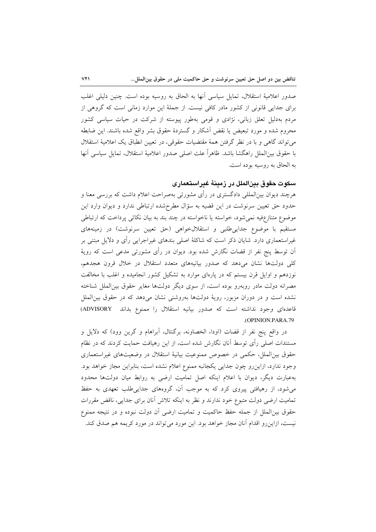صدور اعلاميهٔ استقلال، تمايل سياسي أنها به الحاق به روسيه بوده است. چنين دليلي اغلب برای جدایی قانونی از کشور مادر کافی نیست. از جملهٔ این موارد زمانی است که گروهی از مردم بهدلیل تعلق زبانی، نژادی و قومی بهطور پیوسته از شرکت در حیات سیاسی کشور محروم شده و مورد تبعیض یا نقض آشکار و گستردهٔ حقوق بشر واقع شده باشند. این ضابطه مي تواند گاهي و با در نظر گرفتن همهٔ مقتضيات حقوقي، در تعيين انطباق يک اعلاميهٔ استقلال با حقوق بين|لملل راهگشا باشد. ظاهراً علت اصلي صدور اعلاميهٔ استقلال، تمايل سياسي آنها به الحاق به روسیه بوده است.

# سکوت حقوق بینالملل در زمینهٔ غیراستعماری

هرچند دیوان بین|لمللی دادگستری در رأی مشورتی بهصراحت اعلام داشت که بررسی معنا و حدود حق تعیین سرنوشت در این قضیه به سؤال مطرح شده ارتباطی ندارد و دیوان وارد این موضوع متنازعفیه نمی شود، خواسته یا ناخواسته در چند بند به بیان نکاتی پرداخت که ارتباطی مستقیم با موضوع جدایی طلبی و استقلال خواهی (حق تعیین سرنوشت) در زمینههای غیراستعماری دارد. شایان ذکر است که شاکلهٔ اصلی بندهای غیراجرایی رأی و دلایل مبتنی بر أن توسط پنج نفر از قضات نگارش شده بود. دیوان در رأی مشورتی مدعی است که رویهٔ کلی دولتها نشان میدهد که صدور بیانیههای متعدد استقلال در خلال قرون هجدهم، نوزدهم و اوایل قرن بیستم که در پارهای موارد به تشکیل کشور انجامیده و اغلب با مخالفت مصرانه دولت مادر روبهرو بوده است، از سوى ديگر دولتها مغاير حقوق بين|لملل شناخته نشده است و در دوران مزبور، رویهٔ دولتها بهروشنی نشان میدهد که در حقوق بین الملل قاعدهای وجود نداشته است که صدور بیانیه استقلال را ممنوع بداند ADVISORY) .(OPINION.PARA.79

در واقع پنج نفر از قضات (اودا، الخصاونه، برگنتال، أبراهام و گرين وود) كه دلايل و مستندات اصلی رأی توسط آنان نگارش شده است، از این رهیافت حمایت کردند که در نظام حقوق بین الملل، حکمی در خصوص ممنوعیت بیانیهٔ استقلال در وضعیتهای غیراستعماری وجود ندارد، ازاین رو چون جدایی یکجانبه ممنوع اعلام نشده است، بنابراین مجاز خواهد بود. بهعبارت دیگر، دیوان با اعلام اینکه اصل تمامیت ارضی به روابط میان دولتها محدود میشود، از رهیافتی پیروی کرد که به موجب آن، گروههای جدایی طلب تعهدی به حفظ تمامیت ارضی دولت متبوع خود ندارند و نظر به اینکه تلاش آنان برای جدایی، ناقض مقررات حقوق بینالملل از جمله حفظ حاکمیت و تمامیت ارضی آن دولت نبوده و در نتیجه ممنوع نیست، ازاین رو اقدام آنان مجاز خواهد بود. این مورد می تواند در مورد کریمه هم صدق کند.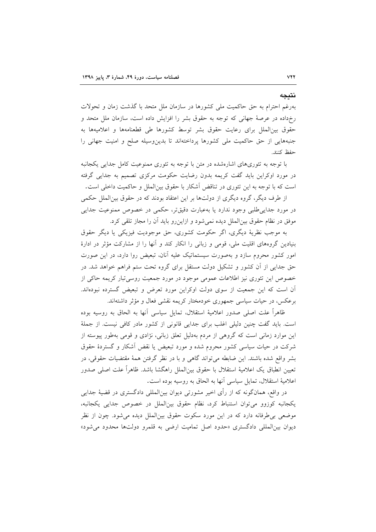بهرغم احترام به حق حاكميت ملي كشورها در سازمان ملل متحد با گذشت زمان و تحولات رخداده در عرصهٔ جهانی که توجه به حقوق بشر را افزایش داده است، سازمان ملل متحد و حقوق بین(لملل برای رعایت حقوق بشر توسط کشورها طی قطعنامهها و اعلامیهها به جنبههایی از حق حاکمیت ملی کشورها پرداختهاند تا بدینوسیله صلح و امنیت جهانی را حفظ كنند.

با توجه به تئوریهای اشارهشده در متن با توجه به تئوری ممنوعیت کامل جدایی یکجانبه در مورد اوکراین باید گفت کریمه بدون رضایت حکومت مرکزی تصمیم به جدایی گرفته است که با توجه به این تئوری در تناقض آشکار با حقوق بینالملل و حاکمیت داخلی است.

از طرف دیگر، گروه دیگری از دولتها بر این اعتقاد بودند که در حقوق بین|لملل حکمی در مورد جدایی طلبی وجود ندارد یا بهعبارت دقیقتر، حکمی در خصوص ممنوعیت جدایی موفق در نظام حقوق بين|لملل ديده نمي شود و ازاين رو بايد آن را مجاز تلقى كرد.

به موجب نظريۀ ديگري، اگر حکومت کشوري، حق موجوديت فيزيکي يا ديگر حقوق بنیادین گروههای اقلیت ملی، قومی و زبانی را انکار کند و آنها را از مشارکت مؤثر در ادارهٔ امور کشور محروم سازد و بهصورت سیستماتیک علیه آنان، تبعیض روا دارد، در این صورت حق جدایی از آن کشور و تشکیل دولت مستقل برای گروه تحت ستم فراهم خواهد شد. در خصوص این تئوری نیز اطلاعات عمومی موجود در مورد جمعیت روسی تبار کریمه حاکی از آن است که این جمعیت از سوی دولت اوکراین مورد تعرض و تبعیض گسترده نبودهاند. برعکس، در حیات سیاسی جمهوری خودمختار کریمه نقشی فعال و مؤثر داشتهاند.

ظاهراً علت اصلی صدور اعلامیهٔ استقلال، تمایل سیاسی آنها به الحاق به روسیه بوده است. باید گفت چنین دلیلی اغلب برای جدایی قانونی از کشور مادر کافی نیست. از جملهٔ این موارد زمانی است که گروهی از مردم بهدلیل تعلق زبانی، نژادی و قومی بهطور پیوسته از شرکت در حیات سیاسی کشور محروم شده و مورد تبعیض یا نقض آشکار و گستردهٔ حقوق بشر واقع شده باشند. این ضابطه میتواند گاهی و با در نظر گرفتن همهٔ مقتضیات حقوقی، در تعيين انطباق يک اعلاميهٔ استقلال با حقوق بين|لملل راهگشا باشد. ظاهراً علت اصلي صدور اعلاميهٔ استقلال، تمايل سياسي آنها به الحاق به روسيه بوده است.

در واقع، همانگونه که از رأى اخير مشورتي ديوان بينالمللي دادگستري در قضيهٔ جدايي يكجانبه كوزوو مى توان استنباط كرد، نظام حقوق بين الملل در خصوص جدايي يكجانبه، موضعی بی طرفانه دارد که در این مورد سکوت حقوق بین الملل دیده می شود. چون از نظر دیوان بینالمللی دادگستری «حدود اصل تمامیت ارضی به قلمرو دولتها محدود می شود»

نتبجه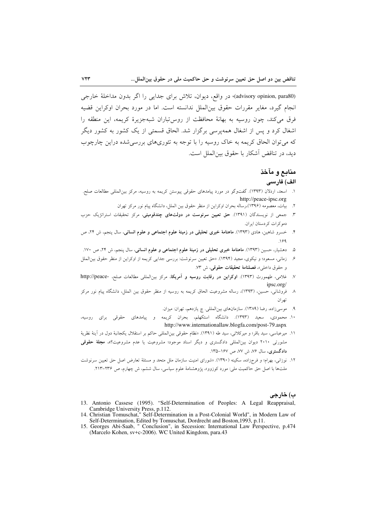(advisory opinion, para80)، در واقع، دیوان، تلاش برای جدایی را اگر بدون مداخلهٔ خارجی انجام گيرد، مغاير مقررات حقوق بين(لملل ندانسته است. اما در مورد بحران اوكراين قضيه فرق می کند، چون روسیه به بهانهٔ محافظت از روس تباران شبهجزیرهٔ کریمه، این منطقه را اشغال کرد و پس از اشغال همه پرسی برگزار شد. الحاق قسمتی از یک کشور به کشور دیگر که می توان الحاق کریمه به خاک روسیه را با توجه به تئوریهای بررسی شده دراین چارچوب ديد، در تناقض آشكار با حقوق بين|لملل است.

# منابع و مآخذ

#### الف) فارسى

- ١. اسعد، اردلان (١٣٩٣). گفتوگو در مورد ييامدهاي حقوقي پيوستن كريمه به روسيه، مركز بينالمللي مطالعات صلح. http://peace-ipsc.org
	- ۲. بیات، معصومه (۱۳۹۶)،رساله بحران اوکراین از منظر حقوق بین الملل، دانشگاه پیام نور مرکز تهران
- ۳. جمعی از نویسندگان (۱۳۹۱). حق تعیین سرنوست در دولتهای چندقومیتی، مرکز تحقیقات استراتژیک حزب دموكرات كردستان ايران.
- ۴. خسرو شاهین، هادی (۱۳۹۳). ماهنامهٔ خبری تحلیلی در زمینهٔ علوم اجتماعی و علوم انسانی، سال پنجم، ش ۲۴، ص  $.199$
- ۵. دهشیار، حسین (۱۳۹۳). ماهنامهٔ خبری تحلیلی در زمینهٔ علوم اجتماعی و علوم انسانی، سال پنجم، ش ۲۴، ص ۱۷۰.
- ۶. زمانی، مسعود؛ و نیکوی، مجید (۱۳۹۴). «حق تعیین سرنوشت: بررسی جدایی کریمه از اوکراین از منظر حقوق بین|لملل و حقوق داخلي»، فصلنامة تحقيقات حقوقي، ش ٧٣.
- ٧. غلامى، طهمورث (١٣٩٣). اوكراين در رقابت روسيه و آمريكا، مركز بين المللي مطالعات صلح، -http://peace ipsc.org/
- ٨- فروشانی، حسین، (١٣٩٣)، رساله مشروعیت الحاق کریمه به روسیه از منظر حقوق بین الملل، دانشگاه پیام نور مرکز تھ ان
	- ۹. موسیزاده، رضا (۱۳۸۹). سازمانهای بینالمللی. چ یازدهم، تهران: میزان.
- ۱۰. محمودی، سعید (۱۳۹۳). دانشگاه استکهلم، بحران کریمه و پیامدهای حقوقی برای روسیه، http://www.internationallaw.blogfa.com/post-79.aspx
- ١١. ميرعباسي، سيد باقر؛ و ميركلائي، سيد طه (١٣٩١). «نظام حقوقي بين|لمللي حاكم بر استقلال يكجانبهٔ دول در آينهٔ نظريهٔ مشورتی ۲۰۱۰ دیوان بین|لمللی دادگستری و دیگر اسناد موجود؛ مشروعیت یا عدم مشروعیت؟»، م**جلهٔ حقوقی** دادگستری، سال ۷۶، ش ۷۷، ص ۱۶۷–۱۳۵.
- ۱۲. نوزانی، بهرام؛ و فرجزاده، سکینه (۱۳۹۰). «شورای امنیت سازمان ملل متحد و مسئلهٔ تعارض اصل حق تعیین سرنوشت ملتها با اصل حق حاکمیت ملی: مورد کوزوو»، پژوهشنامهٔ علوم سیاسی، سال ششم، ش چهارم، ص ۲۳۶–۲۱۳.

#### ب) خارجي

- 13. Antonio Cassese (1995). "Self-Determination of Peoples: A Legal Reappraisal, Cambridge University Press, p.112.<br>14. Christian Tomuschat," Self-Determination in a Post-Colonial World", in Modern Law of
- Self-Determination, Edited by Tomuschat, Dordrecht and Boston, 1993, p.11.
- 15. Georges Abi-Saab, " Conclusion", in Secession: International Law Perspective, p.474 (Marcelo Kohen, sv+c-2006). WC United Kingdom, para.43